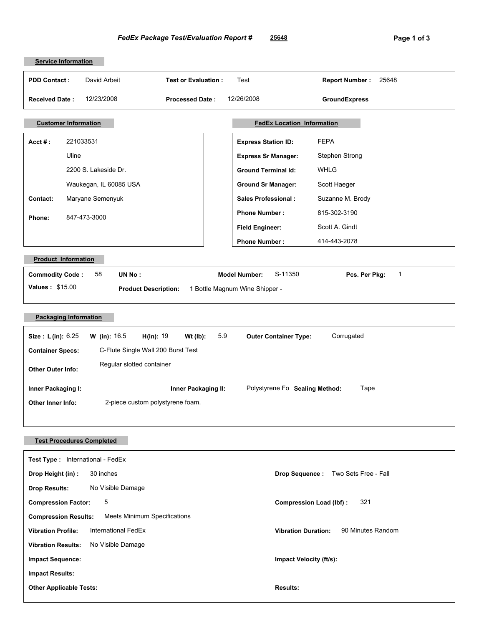| <b>Service Information</b>                                                                                                 |                                                       |  |
|----------------------------------------------------------------------------------------------------------------------------|-------------------------------------------------------|--|
| David Arbeit<br><b>PDD Contact:</b><br><b>Test or Evaluation:</b>                                                          | Test<br>25648<br><b>Report Number:</b>                |  |
| 12/23/2008<br><b>Received Date:</b><br><b>Processed Date:</b>                                                              | 12/26/2008<br><b>GroundExpress</b>                    |  |
|                                                                                                                            |                                                       |  |
| <b>FedEx Location Information</b><br><b>Customer Information</b>                                                           |                                                       |  |
| 221033531<br>$Acct \#$ :                                                                                                   | <b>FEPA</b><br><b>Express Station ID:</b>             |  |
| Uline                                                                                                                      | Stephen Strong<br><b>Express Sr Manager:</b>          |  |
| 2200 S. Lakeside Dr.                                                                                                       | <b>WHLG</b><br><b>Ground Terminal Id:</b>             |  |
| Waukegan, IL 60085 USA                                                                                                     | Scott Haeger<br><b>Ground Sr Manager:</b>             |  |
| Maryane Semenyuk<br>Contact:                                                                                               | <b>Sales Professional:</b><br>Suzanne M. Brody        |  |
| 847-473-3000<br>Phone:                                                                                                     | 815-302-3190<br><b>Phone Number:</b>                  |  |
|                                                                                                                            | Scott A. Gindt<br><b>Field Engineer:</b>              |  |
|                                                                                                                            | <b>Phone Number:</b><br>414-443-2078                  |  |
| <b>Product Information</b>                                                                                                 |                                                       |  |
| 58<br>UN No:<br><b>Commodity Code:</b>                                                                                     | <b>Model Number:</b><br>S-11350<br>1<br>Pcs. Per Pkg: |  |
| Values: \$15.00<br><b>Product Description:</b>                                                                             | 1 Bottle Magnum Wine Shipper -                        |  |
|                                                                                                                            |                                                       |  |
| <b>Packaging Information</b>                                                                                               |                                                       |  |
| <b>W</b> (in): $16.5$<br>5.9<br>Corrugated<br>Size: L(in): 6.25<br>H(in): 19<br>$Wt$ (lb):<br><b>Outer Container Type:</b> |                                                       |  |
| C-Flute Single Wall 200 Burst Test<br><b>Container Specs:</b>                                                              |                                                       |  |
| Regular slotted container<br><b>Other Outer Info:</b>                                                                      |                                                       |  |
| Polystyrene Fo Sealing Method:<br>Tape<br>Inner Packaging II:<br>Inner Packaging I:                                        |                                                       |  |
| 2-piece custom polystyrene foam.<br><b>Other Inner Info:</b>                                                               |                                                       |  |
|                                                                                                                            |                                                       |  |
|                                                                                                                            |                                                       |  |
| <b>Test Procedures Completed</b>                                                                                           |                                                       |  |
| Test Type: International - FedEx                                                                                           |                                                       |  |
| 30 inches<br>Drop Height (in):                                                                                             | Two Sets Free - Fall<br><b>Drop Sequence:</b>         |  |
| No Visible Damage<br><b>Drop Results:</b>                                                                                  |                                                       |  |
| 5<br><b>Compression Factor:</b>                                                                                            | 321<br><b>Compression Load (lbf):</b>                 |  |
| Meets Minimum Specifications<br><b>Compression Results:</b>                                                                |                                                       |  |
| 90 Minutes Random<br>International FedEx<br><b>Vibration Profile:</b><br><b>Vibration Duration:</b>                        |                                                       |  |
| No Visible Damage<br><b>Vibration Results:</b>                                                                             |                                                       |  |
| Impact Velocity (ft/s):<br><b>Impact Sequence:</b>                                                                         |                                                       |  |
| <b>Impact Results:</b>                                                                                                     |                                                       |  |
| <b>Other Applicable Tests:</b>                                                                                             | <b>Results:</b>                                       |  |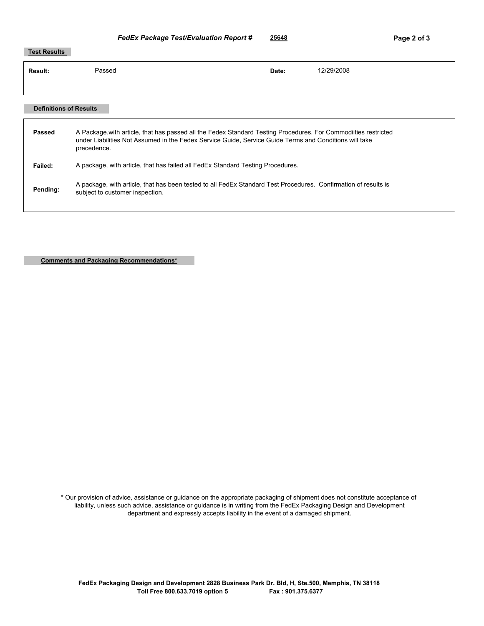## **Test Results Result:** Passed **Date:** 12/29/2008

| <b>Definitions of Results</b> |                                                                                                                                                                                                                                         |
|-------------------------------|-----------------------------------------------------------------------------------------------------------------------------------------------------------------------------------------------------------------------------------------|
| Passed                        | A Package, with article, that has passed all the Fedex Standard Testing Procedures. For Commodities restricted<br>under Liabilities Not Assumed in the Fedex Service Guide, Service Guide Terms and Conditions will take<br>precedence. |
| Failed:                       | A package, with article, that has failed all FedEx Standard Testing Procedures.                                                                                                                                                         |
| Pending:                      | A package, with article, that has been tested to all FedEx Standard Test Procedures. Confirmation of results is<br>subject to customer inspection.                                                                                      |
|                               |                                                                                                                                                                                                                                         |

**Comments and Packaging Recommendations\***

\* Our provision of advice, assistance or guidance on the appropriate packaging of shipment does not constitute acceptance of liability, unless such advice, assistance or guidance is in writing from the FedEx Packaging Design and Development department and expressly accepts liability in the event of a damaged shipment.